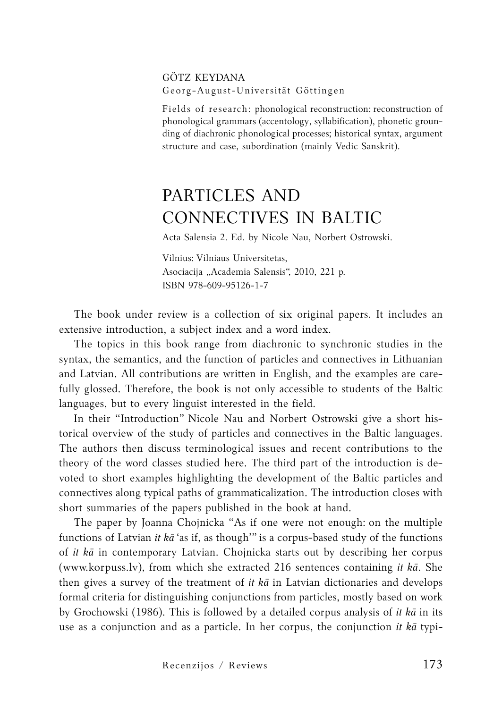## Götz Keydana Georg-August-Universität Göttingen

Fields of research: phonological reconstruction: reconstruction of phonological grammars (accentology, syllabification), phonetic grounding of diachronic phonological processes; historical syntax, argument structure and case, subordination (mainly Vedic Sanskrit).

## Particles and Connectives in Baltic

Acta Salensia 2. Ed. by Nicole Nau, Norbert Ostrowski.

Vilnius: Vilniaus Universitetas, Asociacija "Academia Salensis", 2010, 221 p. ISBN 978-609-95126-1-7

The book under review is a collection of six original papers. It includes an extensive introduction, a subject index and a word index.

The topics in this book range from diachronic to synchronic studies in the syntax, the semantics, and the function of particles and connectives in Lithuanian and Latvian. All contributions are written in English, and the examples are carefully glossed. Therefore, the book is not only accessible to students of the Baltic languages, but to every linguist interested in the field.

In their "Introduction" Nicole Nau and Norbert Ostrowski give a short historical overview of the study of particles and connectives in the Baltic languages. The authors then discuss terminological issues and recent contributions to the theory of the word classes studied here. The third part of the introduction is devoted to short examples highlighting the development of the Baltic particles and connectives along typical paths of grammaticalization. The introduction closes with short summaries of the papers published in the book at hand.

The paper by Joanna Chojnicka "As if one were not enough: on the multiple functions of Latvian *it kā* 'as if, as though'" is a corpus-based study of the functions of *it kā* in contemporary Latvian. Chojnicka starts out by describing her corpus (www.korpuss.lv), from which she extracted 216 sentences containing *it kā*. She then gives a survey of the treatment of *it kā* in Latvian dictionaries and develops formal criteria for distinguishing conjunctions from particles, mostly based on work by Grochowski (1986). This is followed by a detailed corpus analysis of *it kā* in its use as a conjunction and as a particle. In her corpus, the conjunction *it kā* typi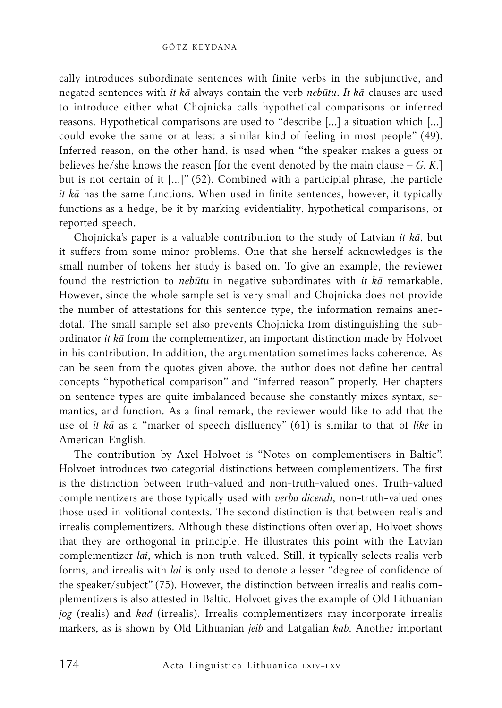cally introduces subordinate sentences with finite verbs in the subjunctive, and negated sentences with *it kā* always contain the verb *nebūtu*. *It kā*-clauses are used to introduce either what Chojnicka calls hypothetical comparisons or inferred reasons. Hypothetical comparisons are used to "describe [...] a situation which […] could evoke the same or at least a similar kind of feeling in most people" (49). Inferred reason, on the other hand, is used when "the speaker makes a guess or believes he/she knows the reason [for the event denoted by the main clause – *G. K.*] but is not certain of it […]" (52). Combined with a participial phrase, the particle *it kā* has the same functions. When used in finite sentences, however, it typically functions as a hedge, be it by marking evidentiality, hypothetical comparisons, or reported speech.

Chojnicka's paper is a valuable contribution to the study of Latvian *it kā*, but it suffers from some minor problems. One that she herself acknowledges is the small number of tokens her study is based on. To give an example, the reviewer found the restriction to *nebūtu* in negative subordinates with *it kā* remarkable. However, since the whole sample set is very small and Chojnicka does not provide the number of attestations for this sentence type, the information remains anecdotal. The small sample set also prevents Chojnicka from distinguishing the subordinator *it kā* from the complementizer, an important distinction made by Holvoet in his contribution. In addition, the argumentation sometimes lacks coherence. As can be seen from the quotes given above, the author does not define her central concepts "hypothetical comparison" and "inferred reason" properly. Her chapters on sentence types are quite imbalanced because she constantly mixes syntax, semantics, and function. As a final remark, the reviewer would like to add that the use of *it kā* as a "marker of speech disfluency" (61) is similar to that of *like* in American English.

The contribution by Axel Holvoet is "Notes on complementisers in Baltic". Holvoet introduces two categorial distinctions between complementizers. The first is the distinction between truth-valued and non-truth-valued ones. Truth-valued complementizers are those typically used with *verba dicendi*, non-truth-valued ones those used in volitional contexts. The second distinction is that between realis and irrealis complementizers. Although these distinctions often overlap, Holvoet shows that they are orthogonal in principle. He illustrates this point with the Latvian complementizer *lai*, which is non-truth-valued. Still, it typically selects realis verb forms, and irrealis with *lai* is only used to denote a lesser "degree of confidence of the speaker/subject" (75). However, the distinction between irrealis and realis complementizers is also attested in Baltic. Holvoet gives the example of Old Lithuanian *jog* (realis) and *kad* (irrealis). Irrealis complementizers may incorporate irrealis markers, as is shown by Old Lithuanian *jeib* and Latgalian *kab*. Another important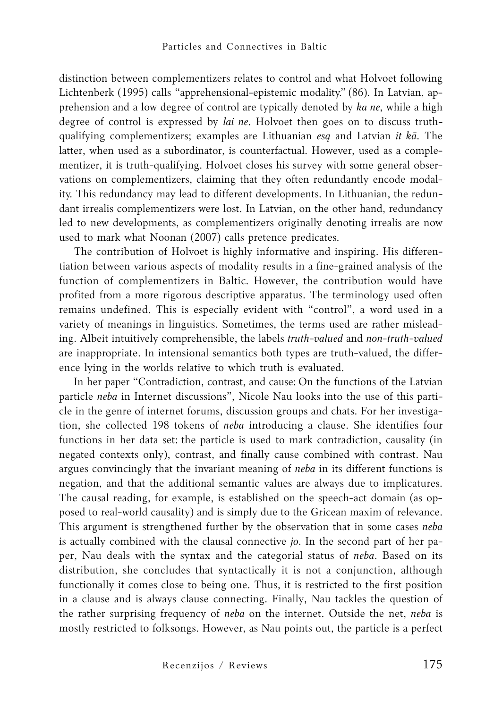distinction between complementizers relates to control and what Holvoet following Lichtenberk (1995) calls "apprehensional-epistemic modality." (86). In Latvian, apprehension and a low degree of control are typically denoted by *ka ne*, while a high degree of control is expressed by *lai ne*. Holvoet then goes on to discuss truthqualifying complementizers; examples are Lithuanian *esą* and Latvian *it kā*. The latter, when used as a subordinator, is counterfactual. However, used as a complementizer, it is truth-qualifying. Holvoet closes his survey with some general observations on complementizers, claiming that they often redundantly encode modality. This redundancy may lead to different developments. In Lithuanian, the redundant irrealis complementizers were lost. In Latvian, on the other hand, redundancy led to new developments, as complementizers originally denoting irrealis are now used to mark what Noonan (2007) calls pretence predicates.

The contribution of Holvoet is highly informative and inspiring. His differentiation between various aspects of modality results in a fine-grained analysis of the function of complementizers in Baltic. However, the contribution would have profited from a more rigorous descriptive apparatus. The terminology used often remains undefined. This is especially evident with "control", a word used in a variety of meanings in linguistics. Sometimes, the terms used are rather misleading. Albeit intuitively comprehensible, the labels *truth-valued* and *non-truth-valued* are inappropriate. In intensional semantics both types are truth-valued, the difference lying in the worlds relative to which truth is evaluated.

In her paper "Contradiction, contrast, and cause: On the functions of the Latvian particle *neba* in Internet discussions", Nicole Nau looks into the use of this particle in the genre of internet forums, discussion groups and chats. For her investigation, she collected 198 tokens of *neba* introducing a clause. She identifies four functions in her data set: the particle is used to mark contradiction, causality (in negated contexts only), contrast, and finally cause combined with contrast. Nau argues convincingly that the invariant meaning of *neba* in its different functions is negation, and that the additional semantic values are always due to implicatures. The causal reading, for example, is established on the speech-act domain (as opposed to real-world causality) and is simply due to the Gricean maxim of relevance. This argument is strengthened further by the observation that in some cases *neba* is actually combined with the clausal connective *jo*. In the second part of her paper, Nau deals with the syntax and the categorial status of *neba*. Based on its distribution, she concludes that syntactically it is not a conjunction, although functionally it comes close to being one. Thus, it is restricted to the first position in a clause and is always clause connecting. Finally, Nau tackles the question of the rather surprising frequency of *neba* on the internet. Outside the net, *neba* is mostly restricted to folksongs. However, as Nau points out, the particle is a perfect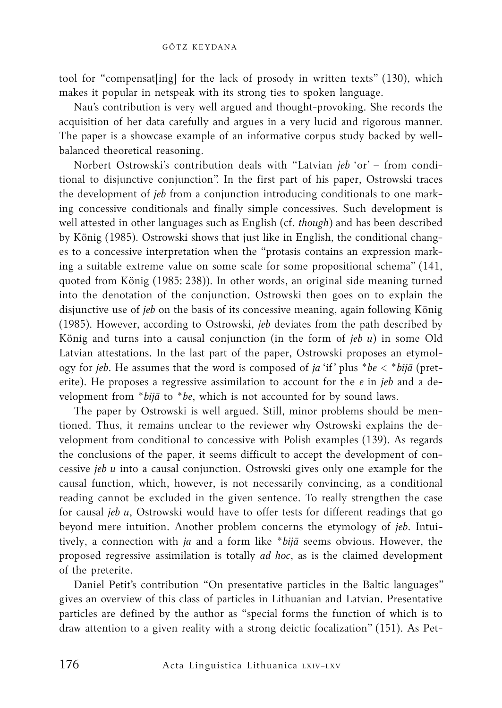tool for "compensat[ing] for the lack of prosody in written texts" (130), which makes it popular in netspeak with its strong ties to spoken language.

Nau's contribution is very well argued and thought-provoking. She records the acquisition of her data carefully and argues in a very lucid and rigorous manner. The paper is a showcase example of an informative corpus study backed by wellbalanced theoretical reasoning.

Norbert Ostrowski's contribution deals with "Latvian *jeb* 'or' – from conditional to disjunctive conjunction". In the first part of his paper, Ostrowski traces the development of *jeb* from a conjunction introducing conditionals to one marking concessive conditionals and finally simple concessives. Such development is well attested in other languages such as English (cf. *though*) and has been described by König (1985). Ostrowski shows that just like in English, the conditional changes to a concessive interpretation when the "protasis contains an expression marking a suitable extreme value on some scale for some propositional schema" (141, quoted from König (1985: 238)). In other words, an original side meaning turned into the denotation of the conjunction. Ostrowski then goes on to explain the disjunctive use of *jeb* on the basis of its concessive meaning, again following König (1985). However, according to Ostrowski, *jeb* deviates from the path described by König and turns into a causal conjunction (in the form of *jeb u*) in some Old Latvian attestations. In the last part of the paper, Ostrowski proposes an etymology for *jeb*. He assumes that the word is composed of *ja* 'if' plus \**be* < \**bijā* (preterite). He proposes a regressive assimilation to account for the *e* in *jeb* and a development from \**bijā* to \**be*, which is not accounted for by sound laws.

The paper by Ostrowski is well argued. Still, minor problems should be mentioned. Thus, it remains unclear to the reviewer why Ostrowski explains the development from conditional to concessive with Polish examples (139). As regards the conclusions of the paper, it seems difficult to accept the development of concessive *jeb u* into a causal conjunction. Ostrowski gives only one example for the causal function, which, however, is not necessarily convincing, as a conditional reading cannot be excluded in the given sentence. To really strengthen the case for causal *jeb u*, Ostrowski would have to offer tests for different readings that go beyond mere intuition. Another problem concerns the etymology of *jeb*. Intuitively, a connection with *ja* and a form like \**bijā* seems obvious. However, the proposed regressive assimilation is totally *ad hoc*, as is the claimed development of the preterite.

Daniel Petit's contribution "On presentative particles in the Baltic languages" gives an overview of this class of particles in Lithuanian and Latvian. Presentative particles are defined by the author as "special forms the function of which is to draw attention to a given reality with a strong deictic focalization" (151). As Pet-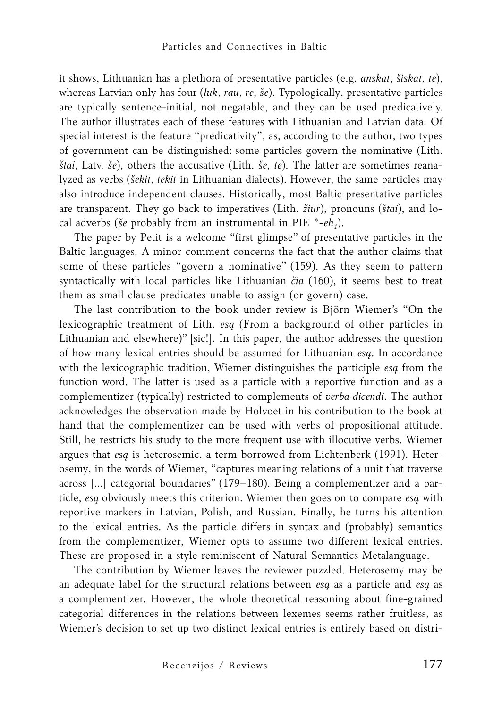it shows, Lithuanian has a plethora of presentative particles (e.g. *anskat*, *šiskat*, *te*), whereas Latvian only has four (*luk*, *rau*, *re*, *še*). Typologically, presentative particles are typically sentence-initial, not negatable, and they can be used predicatively. The author illustrates each of these features with Lithuanian and Latvian data. Of special interest is the feature "predicativity", as, according to the author, two types of government can be distinguished: some particles govern the nominative (Lith. *štai*, Latv. *še*), others the accusative (Lith. *še*, *te*). The latter are sometimes reanalyzed as verbs (*šekit*, *tekit* in Lithuanian dialects). However, the same particles may also introduce independent clauses. Historically, most Baltic presentative particles are transparent. They go back to imperatives (Lith. *žiur*), pronouns (*štai*), and local adverbs (*še* probably from an instrumental in PIE  $*$ -*eh<sub>1</sub>*).

The paper by Petit is a welcome "first glimpse" of presentative particles in the Baltic languages. A minor comment concerns the fact that the author claims that some of these particles "govern a nominative" (159). As they seem to pattern syntactically with local particles like Lithuanian *čia* (160), it seems best to treat them as small clause predicates unable to assign (or govern) case.

The last contribution to the book under review is Björn Wiemer's "On the lexicographic treatment of Lith. *esą* (From a background of other particles in Lithuanian and elsewhere)" [sic!]. In this paper, the author addresses the question of how many lexical entries should be assumed for Lithuanian *esą*. In accordance with the lexicographic tradition, Wiemer distinguishes the participle *esą* from the function word. The latter is used as a particle with a reportive function and as a complementizer (typically) restricted to complements of *verba dicendi*. The author acknowledges the observation made by Holvoet in his contribution to the book at hand that the complementizer can be used with verbs of propositional attitude. Still, he restricts his study to the more frequent use with illocutive verbs. Wiemer argues that *esą* is heterosemic, a term borrowed from Lichtenberk (1991). Heterosemy, in the words of Wiemer, "captures meaning relations of a unit that traverse across […] categorial boundaries" (179–180). Being a complementizer and a particle, *esą* obviously meets this criterion. Wiemer then goes on to compare *esą* with reportive markers in Latvian, Polish, and Russian. Finally, he turns his attention to the lexical entries. As the particle differs in syntax and (probably) semantics from the complementizer, Wiemer opts to assume two different lexical entries. These are proposed in a style reminiscent of Natural Semantics Metalanguage.

The contribution by Wiemer leaves the reviewer puzzled. Heterosemy may be an adequate label for the structural relations between *esą* as a particle and *esą* as a complementizer. However, the whole theoretical reasoning about fine-grained categorial differences in the relations between lexemes seems rather fruitless, as Wiemer's decision to set up two distinct lexical entries is entirely based on distri-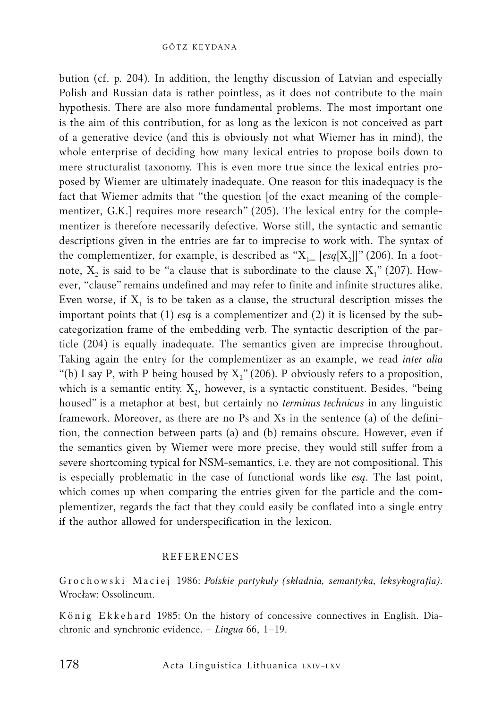bution (cf. p. 204). In addition, the lengthy discussion of Latvian and especially Polish and Russian data is rather pointless, as it does not contribute to the main hypothesis. There are also more fundamental problems. The most important one is the aim of this contribution, for as long as the lexicon is not conceived as part of a generative device (and this is obviously not what Wiemer has in mind), the whole enterprise of deciding how many lexical entries to propose boils down to mere structuralist taxonomy. This is even more true since the lexical entries proposed by Wiemer are ultimately inadequate. One reason for this inadequacy is the fact that Wiemer admits that "the question [of the exact meaning of the complementizer, G.K.] requires more research" (205). The lexical entry for the complementizer is therefore necessarily defective. Worse still, the syntactic and semantic descriptions given in the entries are far to imprecise to work with. The syntax of the complementizer, for example, is described as " $X_1$  [*esq*[X<sub>2</sub>]]" (206). In a footnote,  $X_2$  is said to be "a clause that is subordinate to the clause  $X_1$ " (207). However, "clause" remains undefined and may refer to finite and infinite structures alike. Even worse, if  $X_1$  is to be taken as a clause, the structural description misses the important points that (1) *esą* is a complementizer and (2) it is licensed by the subcategorization frame of the embedding verb. The syntactic description of the particle (204) is equally inadequate. The semantics given are imprecise throughout. Taking again the entry for the complementizer as an example, we read *inter alia* "(b) I say P, with P being housed by  $X''_2(206)$ . P obviously refers to a proposition, which is a semantic entity.  $X_2$ , however, is a syntactic constituent. Besides, "being housed" is a metaphor at best, but certainly no *terminus technicus* in any linguistic framework. Moreover, as there are no Ps and Xs in the sentence (a) of the definition, the connection between parts (a) and (b) remains obscure. However, even if the semantics given by Wiemer were more precise, they would still suffer from a severe shortcoming typical for NSM-semantics, i.e. they are not compositional. This is especially problematic in the case of functional words like *esą*. The last point, which comes up when comparing the entries given for the particle and the complementizer, regards the fact that they could easily be conflated into a single entry if the author allowed for underspecification in the lexicon.

## **REFERENCES**

G r o c h o w s k i M a c i e j 1986: *Polskie partykuły (składnia, semantyka, leksykografia)*. Wrocław: Ossolineum.

König Ekkehard 1985: On the history of concessive connectives in English. Diachronic and synchronic evidence. – *Lingua* 66, 1–19.

Acta Linguistica Lithuanica LXIV–LXV